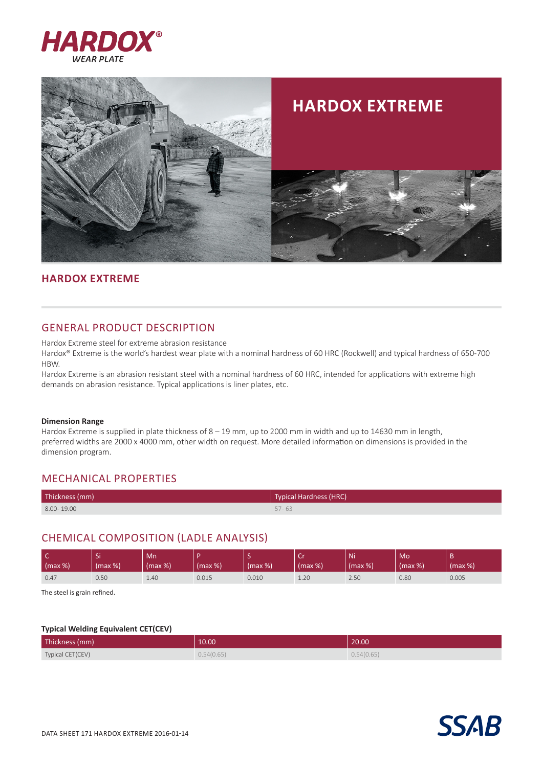



## **Hardox Extreme**

## GENERAL PRODUCT DESCRIPTION

Hardox Extreme steel for extreme abrasion resistance

Hardox® Extreme is the world's hardest wear plate with a nominal hardness of 60 HRC (Rockwell) and typical hardness of 650-700 HBW.

Hardox Extreme is an abrasion resistant steel with a nominal hardness of 60 HRC, intended for applications with extreme high demands on abrasion resistance. Typical applications is liner plates, etc.

#### **Dimension Range**

Hardox Extreme is supplied in plate thickness of 8 – 19 mm, up to 2000 mm in width and up to 14630 mm in length, preferred widths are 2000 x 4000 mm, other width on request. More detailed information on dimensions is provided in the dimension program.

## MECHANICAL PROPERTIES

| Thickness (mm) | Typical Hardness (HRC) |
|----------------|------------------------|
| 8.00-19.00     | $57 - 63$              |

## CHEMICAL COMPOSITION (LADLE ANALYSIS)

| l C<br>$\mid$ (max %) | $\sim$<br>'Si<br>(max %) | Mn<br>(max %) | (max %) | $(max \%)$ | <b>The State State</b><br>ີ<br>(max %) | Ni<br>(max %) | Mo<br>(max %) | (max %) |
|-----------------------|--------------------------|---------------|---------|------------|----------------------------------------|---------------|---------------|---------|
| 0.47                  | 0.50                     | 1.40          | 0.015   | 0.010      | 1.20                                   | 2.50          | 0.80          | 0.005   |

The steel is grain refined.

#### **Typical Welding Equivalent CET(CEV)**

| Thickness (mm)   | 10.00      | 20.00      |
|------------------|------------|------------|
| Typical CET(CEV) | 0.54(0.65) | 0.54(0.65) |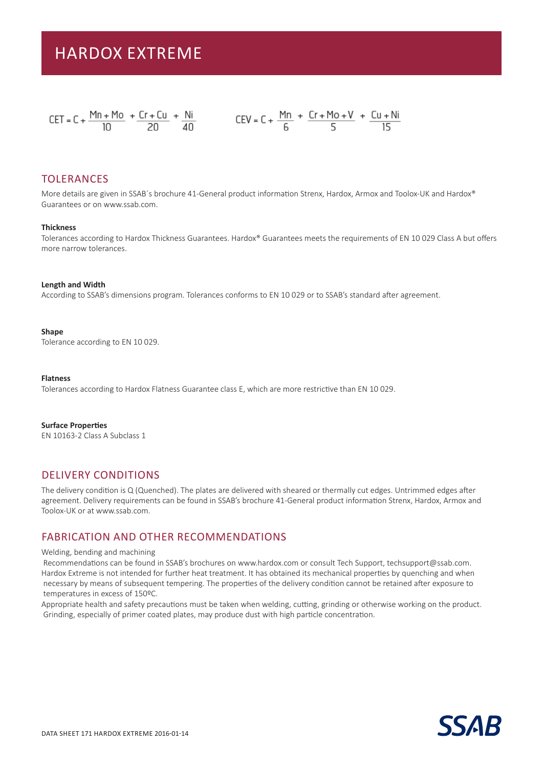$$
CET = C + \frac{Mn + Mo}{10} + \frac{Cr + Cu}{20} + \frac{Ni}{40}
$$
 
$$
CEV = C + \frac{Mn}{6} + \frac{Cr}{10}
$$

# $\frac{+Mo+V}{5}$  +  $\frac{Cu+Ni}{15}$

## TOLERANCES

More details are given in SSAB's brochure 41-General product information Strenx, Hardox, Armox and Toolox-UK and Hardox® Guarantees or on www.ssab.com.

#### **Thickness**

Tolerances according to Hardox Thickness Guarantees. Hardox® Guarantees meets the requirements of EN 10 029 Class A but offers more narrow tolerances.

#### **Length and Width**

According to SSAB's dimensions program. Tolerances conforms to EN 10 029 or to SSAB's standard after agreement.

#### **Shape**

Tolerance according to EN 10 029.

#### **Flatness**

Tolerances according to Hardox Flatness Guarantee class E, which are more restrictive than EN 10 029.

**Surface Properties**  EN 10163-2 Class A Subclass 1

### DELIVERY CONDITIONS

The delivery condition is Q (Quenched). The plates are delivered with sheared or thermally cut edges. Untrimmed edges after agreement. Delivery requirements can be found in SSAB's brochure 41-General product information Strenx, Hardox, Armox and Toolox-UK or at www.ssab.com.

## FABRICATION AND OTHER RECOMMENDATIONS

#### Welding, bending and machining

 Recommendations can be found in SSAB's brochures on www.hardox.com or consult Tech Support, techsupport@ssab.com. Hardox Extreme is not intended for further heat treatment. It has obtained its mechanical properties by quenching and when necessary by means of subsequent tempering. The properties of the delivery condition cannot be retained after exposure to temperatures in excess of 150ºC.

Appropriate health and safety precautions must be taken when welding, cutting, grinding or otherwise working on the product. Grinding, especially of primer coated plates, may produce dust with high particle concentration.